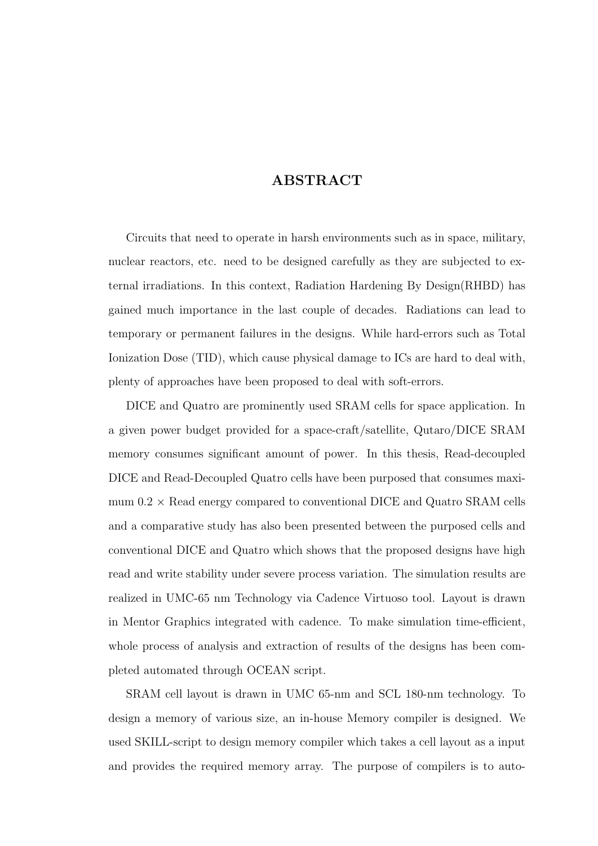## ABSTRACT

Circuits that need to operate in harsh environments such as in space, military, nuclear reactors, etc. need to be designed carefully as they are subjected to external irradiations. In this context, Radiation Hardening By Design(RHBD) has gained much importance in the last couple of decades. Radiations can lead to temporary or permanent failures in the designs. While hard-errors such as Total Ionization Dose (TID), which cause physical damage to ICs are hard to deal with, plenty of approaches have been proposed to deal with soft-errors.

DICE and Quatro are prominently used SRAM cells for space application. In a given power budget provided for a space-craft/satellite, Qutaro/DICE SRAM memory consumes significant amount of power. In this thesis, Read-decoupled DICE and Read-Decoupled Quatro cells have been purposed that consumes maximum  $0.2 \times$  Read energy compared to conventional DICE and Quatro SRAM cells and a comparative study has also been presented between the purposed cells and conventional DICE and Quatro which shows that the proposed designs have high read and write stability under severe process variation. The simulation results are realized in UMC-65 nm Technology via Cadence Virtuoso tool. Layout is drawn in Mentor Graphics integrated with cadence. To make simulation time-efficient, whole process of analysis and extraction of results of the designs has been completed automated through OCEAN script.

SRAM cell layout is drawn in UMC 65-nm and SCL 180-nm technology. To design a memory of various size, an in-house Memory compiler is designed. We used SKILL-script to design memory compiler which takes a cell layout as a input and provides the required memory array. The purpose of compilers is to auto